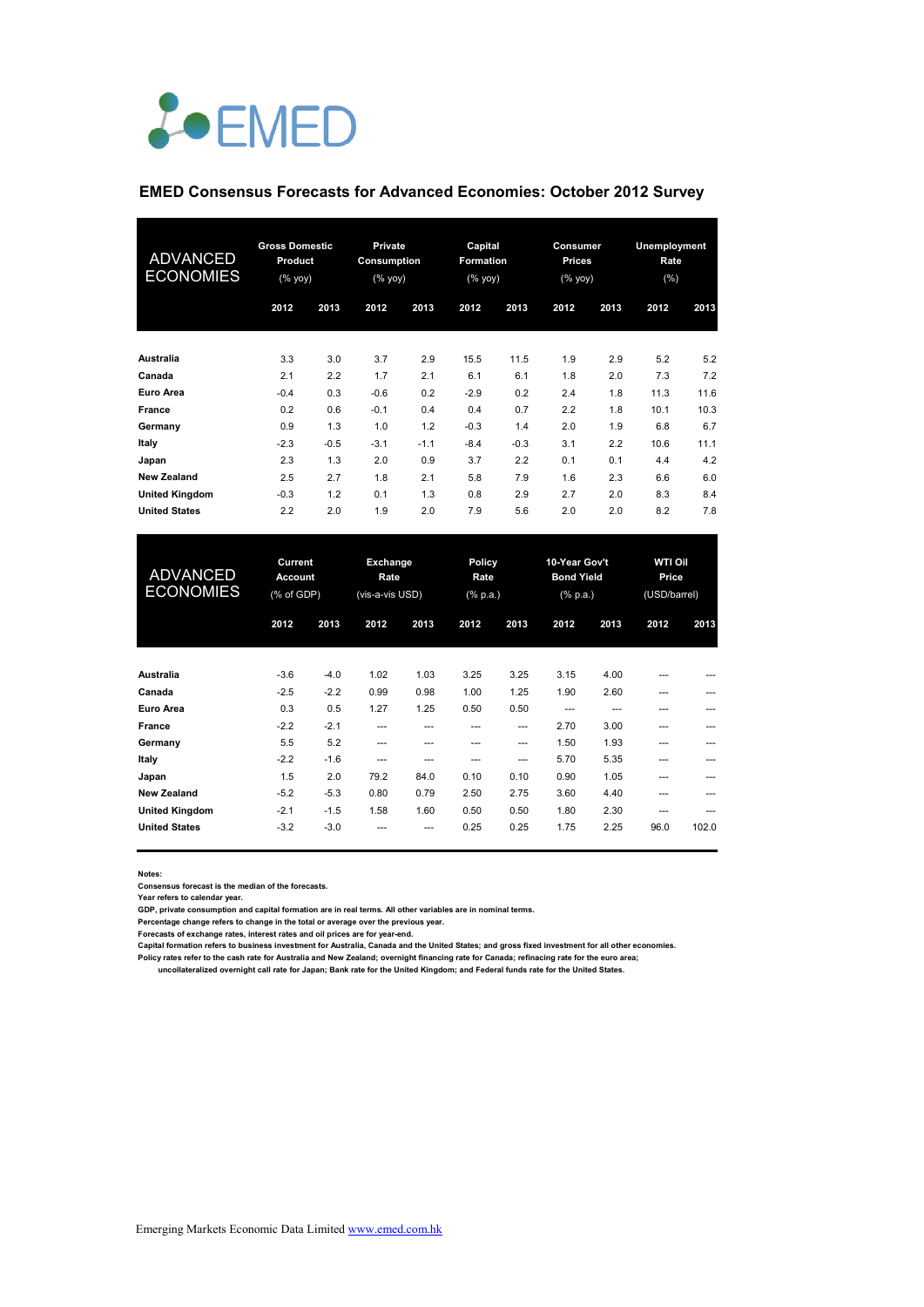

### **EMED Consensus Forecasts for Advanced Economies: October 2012 Survey**

| <b>ADVANCED</b><br><b>ECONOMIES</b> | <b>Gross Domestic</b><br>Product<br>(% yoy) |        | Private<br>Consumption<br>$(%$ (% yoy) |        | Capital<br>Formation<br>(% yoy) |        | Consumer<br>Prices<br>(% yoy) |      | <b>Unemployment</b><br>Rate<br>(%) |      |
|-------------------------------------|---------------------------------------------|--------|----------------------------------------|--------|---------------------------------|--------|-------------------------------|------|------------------------------------|------|
|                                     | 2012                                        | 2013   | 2012                                   | 2013   | 2012                            | 2013   | 2012                          | 2013 | 2012                               | 2013 |
| Australia                           | 3.3                                         | 3.0    | 3.7                                    | 2.9    | 15.5                            | 11.5   | 1.9                           | 2.9  | 5.2                                | 5.2  |
| Canada                              | 2.1                                         | 2.2    | 1.7                                    | 2.1    | 6.1                             | 6.1    | 1.8                           | 2.0  | 7.3                                | 7.2  |
| Euro Area                           | $-0.4$                                      | 0.3    | $-0.6$                                 | 0.2    | $-2.9$                          | 0.2    | 2.4                           | 1.8  | 11.3                               | 11.6 |
| France                              | 0.2                                         | 0.6    | $-0.1$                                 | 0.4    | 0.4                             | 0.7    | 2.2                           | 1.8  | 10.1                               | 10.3 |
| Germany                             | 0.9                                         | 1.3    | 1.0                                    | 1.2    | $-0.3$                          | 1.4    | 2.0                           | 1.9  | 6.8                                | 6.7  |
| Italy                               | $-2.3$                                      | $-0.5$ | $-3.1$                                 | $-1.1$ | $-8.4$                          | $-0.3$ | 3.1                           | 2.2  | 10.6                               | 11.1 |
| Japan                               | 2.3                                         | 1.3    | 2.0                                    | 0.9    | 3.7                             | 2.2    | 0.1                           | 0.1  | 4.4                                | 4.2  |
| <b>New Zealand</b>                  | 2.5                                         | 2.7    | 1.8                                    | 2.1    | 5.8                             | 7.9    | 1.6                           | 2.3  | 6.6                                | 6.0  |
| <b>United Kingdom</b>               | $-0.3$                                      | 1.2    | 0.1                                    | 1.3    | 0.8                             | 2.9    | 2.7                           | 2.0  | 8.3                                | 8.4  |
| <b>United States</b>                | 2.2                                         | 2.0    | 1.9                                    | 2.0    | 7.9                             | 5.6    | 2.0                           | 2.0  | 8.2                                | 7.8  |

| <b>ADVANCED</b><br><b>ECONOMIES</b> | Current<br><b>Account</b><br>(% of GDP) |        | Exchange<br>Rate<br>(vis-a-vis USD) |      | Policy<br>Rate<br>(% p.a.) |      | 10-Year Gov't<br><b>Bond Yield</b><br>(% p.a.) |      | <b>WTI Oil</b><br>Price<br>(USD/barrel) |       |
|-------------------------------------|-----------------------------------------|--------|-------------------------------------|------|----------------------------|------|------------------------------------------------|------|-----------------------------------------|-------|
|                                     | 2012                                    | 2013   | 2012                                | 2013 | 2012                       | 2013 | 2012                                           | 2013 | 2012                                    | 2013  |
| Australia                           | $-3.6$                                  | $-4.0$ | 1.02                                | 1.03 | 3.25                       | 3.25 | 3.15                                           | 4.00 | ---                                     | ---   |
| Canada                              | $-2.5$                                  | $-2.2$ | 0.99                                | 0.98 | 1.00                       | 1.25 | 1.90                                           | 2.60 | ---                                     | ---   |
| Euro Area                           | 0.3                                     | 0.5    | 1.27                                | 1.25 | 0.50                       | 0.50 | ---                                            | ---  | ---                                     | ---   |
| France                              | $-2.2$                                  | $-2.1$ | ---                                 | ---  | ---                        | ---  | 2.70                                           | 3.00 | ---                                     | ---   |
| Germany                             | 5.5                                     | 5.2    | ---                                 | ---  | ---                        | ---  | 1.50                                           | 1.93 | ---                                     | ---   |
| Italy                               | $-2.2$                                  | $-1.6$ | ---                                 | ---  | ---                        | ---  | 5.70                                           | 5.35 | ---                                     | ---   |
| Japan                               | 1.5                                     | 2.0    | 79.2                                | 84.0 | 0.10                       | 0.10 | 0.90                                           | 1.05 | ---                                     | ---   |
| <b>New Zealand</b>                  | $-5.2$                                  | $-5.3$ | 0.80                                | 0.79 | 2.50                       | 2.75 | 3.60                                           | 4.40 | ---                                     | ---   |
| <b>United Kingdom</b>               | $-2.1$                                  | $-1.5$ | 1.58                                | 1.60 | 0.50                       | 0.50 | 1.80                                           | 2.30 | ---                                     | ---   |
| <b>United States</b>                | $-3.2$                                  | $-3.0$ |                                     | ---  | 0.25                       | 0.25 | 1.75                                           | 2.25 | 96.0                                    | 102.0 |

**Notes:** 

**Consensus forecast is the median of the forecasts. Year refers to calendar year.**

**GDP, private consumption and capital formation are in real terms. All other variables are in nominal terms.**

Percentage change refers to change in the total or average over the previous year.<br>Forecasts of exchange rates, interest rates and oil prices are for year-end.<br>Capital formation refers to business investment for Australia,

**Policy rates refer to the cash rate for Australia and New Zealand; overnight financing rate for Canada; refinacing rate for the euro area;** 

 **uncollateralized overnight call rate for Japan; Bank rate for the United Kingdom; and Federal funds rate for the United States.**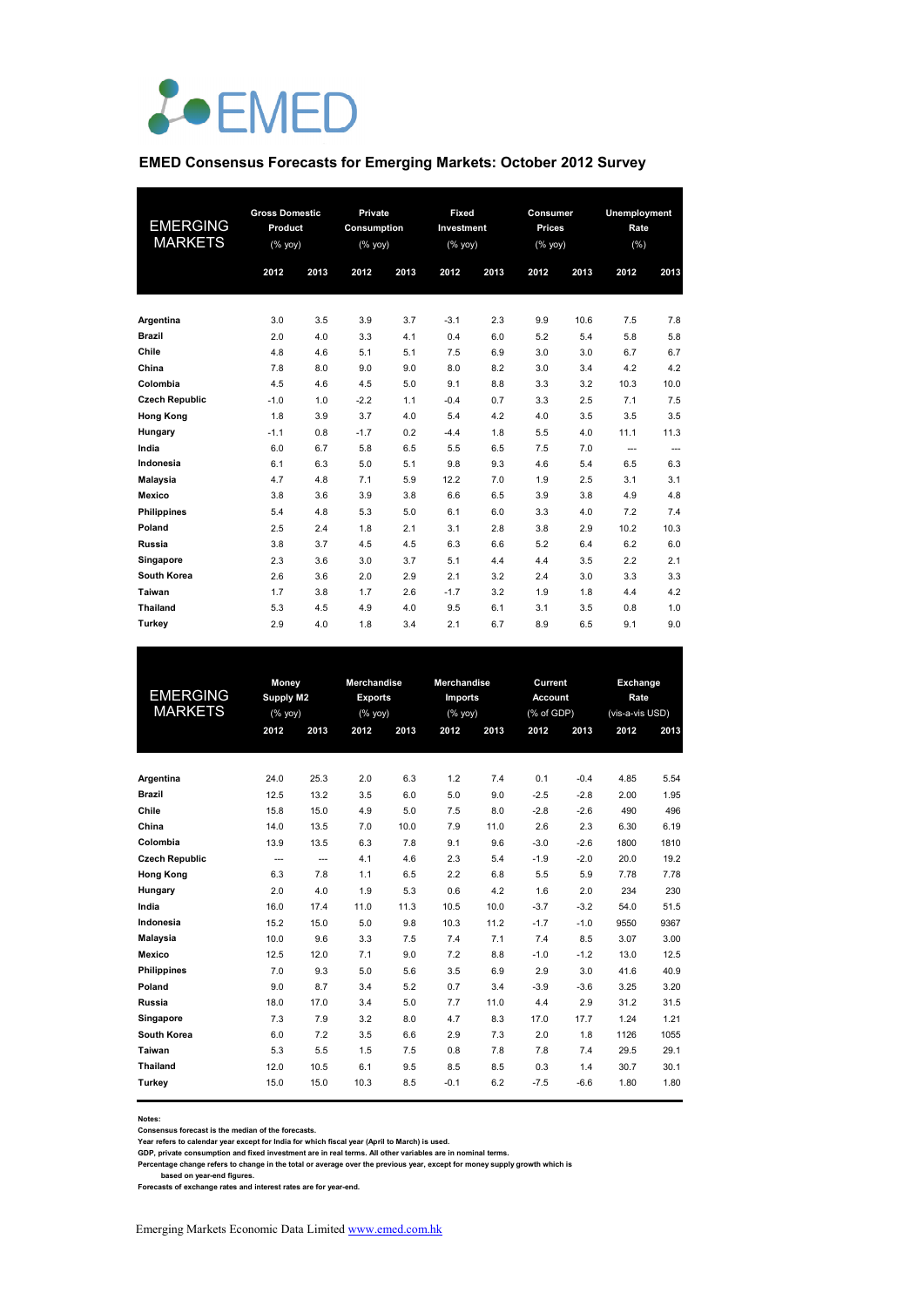

# **EMED Consensus Forecasts for Emerging Markets: October 2012 Survey**

| <b>EMERGING</b><br><b>MARKETS</b> | <b>Gross Domestic</b><br>Product<br>$(%$ (% yoy)<br>2012 | 2013 | Private<br>Consumption<br>(% yoy)<br>2012 | 2013 | Fixed<br>Investment<br>(%<br>2012 | 2013 | Consumer<br><b>Prices</b><br>(% yoy)<br>2012 | 2013 | Unemployment<br>Rate<br>(% )<br>2012 | 2013 |
|-----------------------------------|----------------------------------------------------------|------|-------------------------------------------|------|-----------------------------------|------|----------------------------------------------|------|--------------------------------------|------|
| Argentina                         | 3.0                                                      | 3.5  | 3.9                                       | 3.7  | $-3.1$                            | 2.3  | 9.9                                          | 10.6 | 7.5                                  | 7.8  |
| <b>Brazil</b>                     | 2.0                                                      | 4.0  | 3.3                                       | 4.1  | 0.4                               | 6.0  | 5.2                                          | 5.4  | 5.8                                  | 5.8  |
| Chile                             | 4.8                                                      | 4.6  | 5.1                                       | 5.1  | 7.5                               | 6.9  | 3.0                                          | 3.0  | 6.7                                  | 6.7  |
| China                             | 7.8                                                      | 8.0  | 9.0                                       | 9.0  | 8.0                               | 8.2  | 3.0                                          | 3.4  | 4.2                                  | 4.2  |
| Colombia                          | 4.5                                                      | 4.6  | 4.5                                       | 5.0  | 9.1                               | 8.8  | 3.3                                          | 3.2  | 10.3                                 | 10.0 |
| <b>Czech Republic</b>             | $-1.0$                                                   | 1.0  | $-2.2$                                    | 1.1  | $-0.4$                            | 0.7  | 3.3                                          | 2.5  | 7.1                                  | 7.5  |
| <b>Hong Kong</b>                  | 1.8                                                      | 3.9  | 3.7                                       | 4.0  | 5.4                               | 4.2  | 4.0                                          | 3.5  | 3.5                                  | 3.5  |
| Hungary                           | $-1.1$                                                   | 0.8  | $-1.7$                                    | 0.2  | $-4.4$                            | 1.8  | 5.5                                          | 4.0  | 11.1                                 | 11.3 |
| India                             | 6.0                                                      | 6.7  | 5.8                                       | 6.5  | 5.5                               | 6.5  | 7.5                                          | 7.0  | $---$                                | ---  |
| Indonesia                         | 6.1                                                      | 6.3  | 5.0                                       | 5.1  | 9.8                               | 9.3  | 4.6                                          | 5.4  | 6.5                                  | 6.3  |
| Malaysia                          | 4.7                                                      | 4.8  | 7.1                                       | 5.9  | 12.2                              | 7.0  | 1.9                                          | 2.5  | 3.1                                  | 3.1  |
| <b>Mexico</b>                     | 3.8                                                      | 3.6  | 3.9                                       | 3.8  | 6.6                               | 6.5  | 3.9                                          | 3.8  | 4.9                                  | 4.8  |
| <b>Philippines</b>                | 5.4                                                      | 4.8  | 5.3                                       | 5.0  | 6.1                               | 6.0  | 3.3                                          | 4.0  | 7.2                                  | 7.4  |
| Poland                            | 2.5                                                      | 2.4  | 1.8                                       | 2.1  | 3.1                               | 2.8  | 3.8                                          | 2.9  | 10.2                                 | 10.3 |
| <b>Russia</b>                     | 3.8                                                      | 3.7  | 4.5                                       | 4.5  | 6.3                               | 6.6  | 5.2                                          | 6.4  | 6.2                                  | 6.0  |
| Singapore                         | 2.3                                                      | 3.6  | 3.0                                       | 3.7  | 5.1                               | 4.4  | 4.4                                          | 3.5  | 2.2                                  | 2.1  |
| South Korea                       | 2.6                                                      | 3.6  | 2.0                                       | 2.9  | 2.1                               | 3.2  | 2.4                                          | 3.0  | 3.3                                  | 3.3  |
| Taiwan                            | 1.7                                                      | 3.8  | 1.7                                       | 2.6  | $-1.7$                            | 3.2  | 1.9                                          | 1.8  | 4.4                                  | 4.2  |
| <b>Thailand</b>                   | 5.3                                                      | 4.5  | 4.9                                       | 4.0  | 9.5                               | 6.1  | 3.1                                          | 3.5  | 0.8                                  | 1.0  |
| Turkey                            | 2.9                                                      | 4.0  | 1.8                                       | 3.4  | 2.1                               | 6.7  | 8.9                                          | 6.5  | 9.1                                  | 9.0  |

|                       | <b>Money</b>   |                                                                    | <b>Merchandise</b><br><b>Merchandise</b> |      |                |      | Current        |        | Exchange        |      |
|-----------------------|----------------|--------------------------------------------------------------------|------------------------------------------|------|----------------|------|----------------|--------|-----------------|------|
| <b>EMERGING</b>       | Supply M2      |                                                                    | <b>Exports</b>                           |      | <b>Imports</b> |      | <b>Account</b> |        | Rate            |      |
| <b>MARKETS</b>        |                | $(% \mathsf{Y}^{\prime }\mathsf{Y}^{\prime }\mathsf{Y}^{\prime })$ |                                          | (%   | (%             |      | (% of GDP)     |        | (vis-a-vis USD) |      |
|                       | 2012           | 2013                                                               | 2012                                     | 2013 | 2012           | 2013 | 2012           | 2013   | 2012            | 2013 |
|                       |                |                                                                    |                                          |      |                |      |                |        |                 |      |
| Argentina             | 24.0           | 25.3                                                               | 2.0                                      | 6.3  | 1.2            | 7.4  | 0.1            | $-0.4$ | 4.85            | 5.54 |
| <b>Brazil</b>         | 12.5           | 13.2                                                               | 3.5                                      | 6.0  | 5.0            | 9.0  | $-2.5$         | $-2.8$ | 2.00            | 1.95 |
| Chile                 | 15.8           | 15.0                                                               | 4.9                                      | 5.0  | 7.5            | 8.0  | $-2.8$         | $-2.6$ | 490             | 496  |
| China                 | 14.0           | 13.5                                                               | 7.0                                      | 10.0 | 7.9            | 11.0 | 2.6            | 2.3    | 6.30            | 6.19 |
| Colombia              | 13.9           | 13.5                                                               | 6.3                                      | 7.8  | 9.1            | 9.6  | $-3.0$         | $-2.6$ | 1800            | 1810 |
| <b>Czech Republic</b> | $\overline{a}$ | $\overline{a}$                                                     | 4.1                                      | 4.6  | 2.3            | 5.4  | $-1.9$         | $-2.0$ | 20.0            | 19.2 |
| <b>Hong Kong</b>      | 6.3            | 7.8                                                                | 1.1                                      | 6.5  | 2.2            | 6.8  | 5.5            | 5.9    | 7.78            | 7.78 |
| Hungary               | 2.0            | 4.0                                                                | 1.9                                      | 5.3  | 0.6            | 4.2  | 1.6            | 2.0    | 234             | 230  |
| India                 | 16.0           | 17.4                                                               | 11.0                                     | 11.3 | 10.5           | 10.0 | $-3.7$         | $-3.2$ | 54.0            | 51.5 |
| Indonesia             | 15.2           | 15.0                                                               | 5.0                                      | 9.8  | 10.3           | 11.2 | $-1.7$         | $-1.0$ | 9550            | 9367 |
| Malaysia              | 10.0           | 9.6                                                                | 3.3                                      | 7.5  | 7.4            | 7.1  | 7.4            | 8.5    | 3.07            | 3.00 |
| <b>Mexico</b>         | 12.5           | 12.0                                                               | 7.1                                      | 9.0  | 7.2            | 8.8  | $-1.0$         | $-1.2$ | 13.0            | 12.5 |
| <b>Philippines</b>    | 7.0            | 9.3                                                                | 5.0                                      | 5.6  | 3.5            | 6.9  | 2.9            | 3.0    | 41.6            | 40.9 |
| Poland                | 9.0            | 8.7                                                                | 3.4                                      | 5.2  | 0.7            | 3.4  | $-3.9$         | $-3.6$ | 3.25            | 3.20 |
| <b>Russia</b>         | 18.0           | 17.0                                                               | 3.4                                      | 5.0  | 7.7            | 11.0 | 4.4            | 2.9    | 31.2            | 31.5 |
| Singapore             | 7.3            | 7.9                                                                | 3.2                                      | 8.0  | 4.7            | 8.3  | 17.0           | 17.7   | 1.24            | 1.21 |
| South Korea           | 6.0            | 7.2                                                                | 3.5                                      | 6.6  | 2.9            | 7.3  | 2.0            | 1.8    | 1126            | 1055 |
| Taiwan                | 5.3            | 5.5                                                                | 1.5                                      | 7.5  | 0.8            | 7.8  | 7.8            | 7.4    | 29.5            | 29.1 |
| <b>Thailand</b>       | 12.0           | 10.5                                                               | 6.1                                      | 9.5  | 8.5            | 8.5  | 0.3            | 1.4    | 30.7            | 30.1 |
| Turkey                | 15.0           | 15.0                                                               | 10.3                                     | 8.5  | $-0.1$         | 6.2  | $-7.5$         | $-6.6$ | 1.80            | 1.80 |

**Notes: Consensus forecast is the median of the forecasts.**

Year refers to calendar year except for India for which fiscal year (April to March) is used.<br>GDP, private consumption and fixed investment are in real terms. All other variables are in nominal terms.<br>Percentage change ref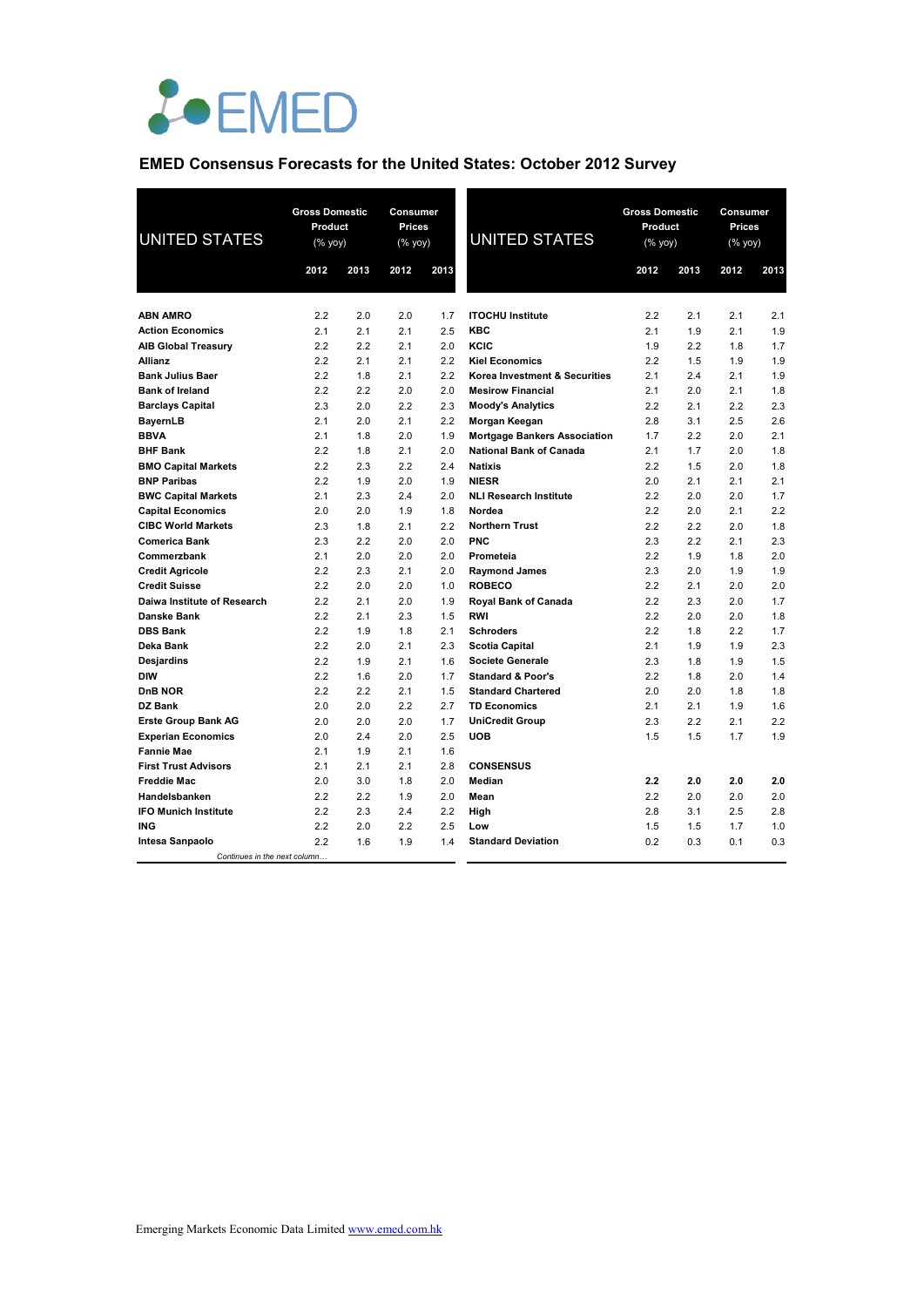

## **EMED Consensus Forecasts for the United States: October 2012 Survey**

| <b>UNITED STATES</b>         | <b>Gross Domestic</b><br>Product<br>$(% \mathsf{Y}^{\prime }\mathsf{Y}^{\prime }\mathsf{Y}^{\prime })$ |      | Consumer<br><b>Prices</b><br>(% yoy) |      | <b>UNITED STATES</b>                     | <b>Gross Domestic</b><br>Product<br>$(%$ yoy) |      | Consumer<br>Prices<br>$(%$ yoy) |      |
|------------------------------|--------------------------------------------------------------------------------------------------------|------|--------------------------------------|------|------------------------------------------|-----------------------------------------------|------|---------------------------------|------|
|                              | 2012                                                                                                   | 2013 | 2012                                 | 2013 |                                          | 2012                                          | 2013 | 2012                            | 2013 |
|                              |                                                                                                        |      |                                      |      |                                          |                                               |      |                                 |      |
| <b>ABN AMRO</b>              | 2.2                                                                                                    | 2.0  | 2.0                                  | 1.7  | <b>ITOCHU Institute</b>                  | 2.2                                           | 2.1  | 2.1                             | 2.1  |
| <b>Action Economics</b>      | 2.1                                                                                                    | 2.1  | 2.1                                  | 2.5  | <b>KBC</b>                               | 2.1                                           | 1.9  | 2.1                             | 1.9  |
| <b>AIB Global Treasury</b>   | 2.2                                                                                                    | 2.2  | 2.1                                  | 2.0  | KCIC                                     | 1.9                                           | 2.2  | 1.8                             | 1.7  |
| Allianz                      | 2.2                                                                                                    | 2.1  | 2.1                                  | 2.2  | <b>Kiel Economics</b>                    | 2.2                                           | 1.5  | 1.9                             | 1.9  |
| <b>Bank Julius Baer</b>      | 2.2                                                                                                    | 1.8  | 2.1                                  | 2.2  | <b>Korea Investment &amp; Securities</b> | 2.1                                           | 2.4  | 2.1                             | 1.9  |
| <b>Bank of Ireland</b>       | 2.2                                                                                                    | 2.2  | 2.0                                  | 2.0  | <b>Mesirow Financial</b>                 | 2.1                                           | 2.0  | 2.1                             | 1.8  |
| <b>Barclays Capital</b>      | 2.3                                                                                                    | 2.0  | 2.2                                  | 2.3  | <b>Moody's Analytics</b>                 | 2.2                                           | 2.1  | 2.2                             | 2.3  |
| <b>BayernLB</b>              | 2.1                                                                                                    | 2.0  | 2.1                                  | 2.2  | Morgan Keegan                            | 2.8                                           | 3.1  | 2.5                             | 2.6  |
| <b>BBVA</b>                  | 2.1                                                                                                    | 1.8  | 2.0                                  | 1.9  | <b>Mortgage Bankers Association</b>      | 1.7                                           | 2.2  | 2.0                             | 2.1  |
| <b>BHF Bank</b>              | 2.2                                                                                                    | 1.8  | 2.1                                  | 2.0  | <b>National Bank of Canada</b>           | 2.1                                           | 1.7  | 2.0                             | 1.8  |
| <b>BMO Capital Markets</b>   | 2.2                                                                                                    | 2.3  | 2.2                                  | 2.4  | <b>Natixis</b>                           | 2.2                                           | 1.5  | 2.0                             | 1.8  |
| <b>BNP Paribas</b>           | 2.2                                                                                                    | 1.9  | 2.0                                  | 1.9  | <b>NIESR</b>                             | 2.0                                           | 2.1  | 2.1                             | 2.1  |
| <b>BWC Capital Markets</b>   | 2.1                                                                                                    | 2.3  | 2.4                                  | 2.0  | <b>NLI Research Institute</b>            | 2.2                                           | 2.0  | 2.0                             | 1.7  |
| <b>Capital Economics</b>     | 2.0                                                                                                    | 2.0  | 1.9                                  | 1.8  | Nordea                                   | 2.2                                           | 2.0  | 2.1                             | 2.2  |
| <b>CIBC World Markets</b>    | 2.3                                                                                                    | 1.8  | 2.1                                  | 2.2  | <b>Northern Trust</b>                    | 2.2                                           | 2.2  | 2.0                             | 1.8  |
| <b>Comerica Bank</b>         | 2.3                                                                                                    | 2.2  | 2.0                                  | 2.0  | <b>PNC</b>                               | 2.3                                           | 2.2  | 2.1                             | 2.3  |
| Commerzbank                  | 2.1                                                                                                    | 2.0  | 2.0                                  | 2.0  | Prometeia                                | 2.2                                           | 1.9  | 1.8                             | 2.0  |
| <b>Credit Agricole</b>       | 2.2                                                                                                    | 2.3  | 2.1                                  | 2.0  | <b>Raymond James</b>                     | 2.3                                           | 2.0  | 1.9                             | 1.9  |
| <b>Credit Suisse</b>         | 2.2                                                                                                    | 2.0  | 2.0                                  | 1.0  | <b>ROBECO</b>                            | 2.2                                           | 2.1  | 2.0                             | 2.0  |
| Daiwa Institute of Research  | 2.2                                                                                                    | 2.1  | 2.0                                  | 1.9  | Royal Bank of Canada                     | 2.2                                           | 2.3  | 2.0                             | 1.7  |
| <b>Danske Bank</b>           | 2.2                                                                                                    | 2.1  | 2.3                                  | 1.5  | <b>RWI</b>                               | 2.2                                           | 2.0  | 2.0                             | 1.8  |
| <b>DBS Bank</b>              | 2.2                                                                                                    | 1.9  | 1.8                                  | 2.1  | <b>Schroders</b>                         | 2.2                                           | 1.8  | 2.2                             | 1.7  |
| Deka Bank                    | 2.2                                                                                                    | 2.0  | 2.1                                  | 2.3  | <b>Scotia Capital</b>                    | 2.1                                           | 1.9  | 1.9                             | 2.3  |
| Desjardins                   | 2.2                                                                                                    | 1.9  | 2.1                                  | 1.6  | <b>Societe Generale</b>                  | 2.3                                           | 1.8  | 1.9                             | 1.5  |
| <b>DIW</b>                   | 2.2                                                                                                    | 1.6  | 2.0                                  | 1.7  | <b>Standard &amp; Poor's</b>             | 2.2                                           | 1.8  | 2.0                             | 1.4  |
| <b>DnB NOR</b>               | 2.2                                                                                                    | 2.2  | 2.1                                  | 1.5  | <b>Standard Chartered</b>                | 2.0                                           | 2.0  | 1.8                             | 1.8  |
| DZ Bank                      | 2.0                                                                                                    | 2.0  | 2.2                                  | 2.7  | <b>TD Economics</b>                      | 2.1                                           | 2.1  | 1.9                             | 1.6  |
| <b>Erste Group Bank AG</b>   | 2.0                                                                                                    | 2.0  | 2.0                                  | 1.7  | <b>UniCredit Group</b>                   | 2.3                                           | 2.2  | 2.1                             | 2.2  |
| <b>Experian Economics</b>    | 2.0                                                                                                    | 2.4  | 2.0                                  | 2.5  | <b>UOB</b>                               | 1.5                                           | 1.5  | 1.7                             | 1.9  |
| <b>Fannie Mae</b>            | 2.1                                                                                                    | 1.9  | 2.1                                  | 1.6  |                                          |                                               |      |                                 |      |
| <b>First Trust Advisors</b>  | 2.1                                                                                                    | 2.1  | 2.1                                  | 2.8  | <b>CONSENSUS</b>                         |                                               |      |                                 |      |
| <b>Freddie Mac</b>           | 2.0                                                                                                    | 3.0  | 1.8                                  | 2.0  | Median                                   | 2.2                                           | 2.0  | 2.0                             | 2.0  |
| Handelsbanken                | 2.2                                                                                                    | 2.2  | 1.9                                  | 2.0  | Mean                                     | 2.2                                           | 2.0  | 2.0                             | 2.0  |
| <b>IFO Munich Institute</b>  | 2.2                                                                                                    | 2.3  | 2.4                                  | 2.2  | High                                     | 2.8                                           | 3.1  | 2.5                             | 2.8  |
| ING                          | 2.2                                                                                                    | 2.0  | 2.2                                  | 2.5  | Low                                      | 1.5                                           | 1.5  | 1.7                             | 1.0  |
| Intesa Sanpaolo              | 2.2                                                                                                    | 1.6  | 1.9                                  | 1.4  | <b>Standard Deviation</b>                | 0.2                                           | 0.3  | 0.1                             | 0.3  |
| Continues in the next column |                                                                                                        |      |                                      |      |                                          |                                               |      |                                 |      |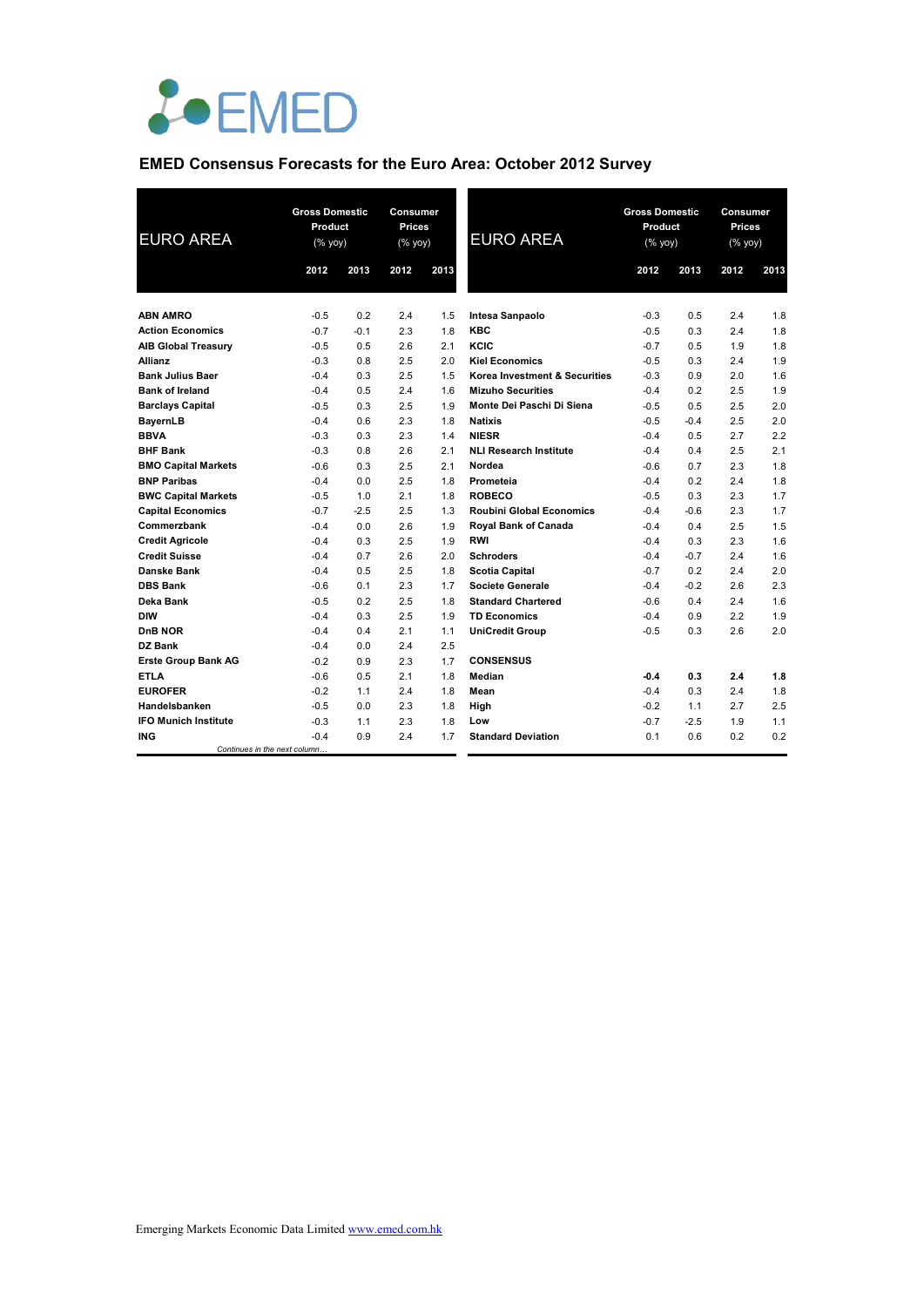

## **EMED Consensus Forecasts for the Euro Area: October 2012 Survey**

| <b>EURO AREA</b>            |                              | <b>Gross Domestic</b><br>Product<br>$(% \mathsf{Y}^{\prime }\mathsf{Y}^{\prime }\mathsf{Y}^{\prime })$ |      | Consumer<br>Prices<br>$(% \mathsf{Y}^{\prime }\mathsf{Y}^{\prime }\mathsf{Y}^{\prime })$ | <b>EURO AREA</b>                | <b>Gross Domestic</b><br>Product<br>(% yoy) |        | Consumer<br>Prices<br>(% yoy) |      |
|-----------------------------|------------------------------|--------------------------------------------------------------------------------------------------------|------|------------------------------------------------------------------------------------------|---------------------------------|---------------------------------------------|--------|-------------------------------|------|
|                             | 2012                         | 2013                                                                                                   | 2012 | 2013                                                                                     |                                 | 2012                                        | 2013   | 2012                          | 2013 |
| <b>ABN AMRO</b>             | $-0.5$                       | 0.2                                                                                                    | 2.4  | 1.5                                                                                      | Intesa Sanpaolo                 | $-0.3$                                      | 0.5    | 2.4                           | 1.8  |
| <b>Action Economics</b>     | $-0.7$                       | $-0.1$                                                                                                 | 2.3  | 1.8                                                                                      | <b>KBC</b>                      | $-0.5$                                      | 0.3    | 2.4                           | 1.8  |
| <b>AIB Global Treasury</b>  | $-0.5$                       | 0.5                                                                                                    | 2.6  | 2.1                                                                                      | KCIC                            | $-0.7$                                      | 0.5    | 1.9                           | 1.8  |
| <b>Allianz</b>              | $-0.3$                       | 0.8                                                                                                    | 2.5  | 2.0                                                                                      | <b>Kiel Economics</b>           | $-0.5$                                      | 0.3    | 2.4                           | 1.9  |
| <b>Bank Julius Baer</b>     | $-0.4$                       | 0.3                                                                                                    | 2.5  | 1.5                                                                                      | Korea Investment & Securities   | $-0.3$                                      | 0.9    | 2.0                           | 1.6  |
| <b>Bank of Ireland</b>      | $-0.4$                       | 0.5                                                                                                    | 2.4  | 1.6                                                                                      | <b>Mizuho Securities</b>        | $-0.4$                                      | 0.2    | 2.5                           | 1.9  |
| <b>Barclays Capital</b>     | $-0.5$                       | 0.3                                                                                                    | 2.5  | 1.9                                                                                      | Monte Dei Paschi Di Siena       | -0.5                                        | 0.5    | 2.5                           | 2.0  |
| BayernLB                    | $-0.4$                       | 0.6                                                                                                    | 2.3  | 1.8                                                                                      | <b>Natixis</b>                  | $-0.5$                                      | $-0.4$ | 2.5                           | 2.0  |
| <b>BBVA</b>                 | $-0.3$                       | 0.3                                                                                                    | 2.3  | 1.4                                                                                      | <b>NIESR</b>                    | $-0.4$                                      | 0.5    | 2.7                           | 2.2  |
| <b>BHF Bank</b>             | $-0.3$                       | 0.8                                                                                                    | 2.6  | 2.1                                                                                      | <b>NLI Research Institute</b>   | $-0.4$                                      | 0.4    | 2.5                           | 2.1  |
| <b>BMO Capital Markets</b>  | $-0.6$                       | 0.3                                                                                                    | 2.5  | 2.1                                                                                      | Nordea                          | $-0.6$                                      | 0.7    | 2.3                           | 1.8  |
| <b>BNP Paribas</b>          | $-0.4$                       | 0.0                                                                                                    | 2.5  | 1.8                                                                                      | Prometeia                       | $-0.4$                                      | 0.2    | 2.4                           | 1.8  |
| <b>BWC Capital Markets</b>  | $-0.5$                       | 1.0                                                                                                    | 2.1  | 1.8                                                                                      | <b>ROBECO</b>                   | $-0.5$                                      | 0.3    | 2.3                           | 1.7  |
| <b>Capital Economics</b>    | $-0.7$                       | $-2.5$                                                                                                 | 2.5  | 1.3                                                                                      | <b>Roubini Global Economics</b> | $-0.4$                                      | $-0.6$ | 2.3                           | 1.7  |
| Commerzbank                 | $-0.4$                       | 0.0                                                                                                    | 2.6  | 1.9                                                                                      | <b>Royal Bank of Canada</b>     | $-0.4$                                      | 0.4    | 2.5                           | 1.5  |
| <b>Credit Agricole</b>      | $-0.4$                       | 0.3                                                                                                    | 2.5  | 1.9                                                                                      | <b>RWI</b>                      | $-0.4$                                      | 0.3    | 2.3                           | 1.6  |
| <b>Credit Suisse</b>        | $-0.4$                       | 0.7                                                                                                    | 2.6  | 2.0                                                                                      | <b>Schroders</b>                | $-0.4$                                      | $-0.7$ | 2.4                           | 1.6  |
| Danske Bank                 | $-0.4$                       | 0.5                                                                                                    | 2.5  | 1.8                                                                                      | <b>Scotia Capital</b>           | $-0.7$                                      | 0.2    | 2.4                           | 2.0  |
| <b>DBS Bank</b>             | $-0.6$                       | 0.1                                                                                                    | 2.3  | 1.7                                                                                      | <b>Societe Generale</b>         | $-0.4$                                      | $-0.2$ | 2.6                           | 2.3  |
| Deka Bank                   | $-0.5$                       | 0.2                                                                                                    | 2.5  | 1.8                                                                                      | <b>Standard Chartered</b>       | $-0.6$                                      | 0.4    | 2.4                           | 1.6  |
| <b>DIW</b>                  | $-0.4$                       | 0.3                                                                                                    | 2.5  | 1.9                                                                                      | <b>TD Economics</b>             | $-0.4$                                      | 0.9    | 2.2                           | 1.9  |
| DnB NOR                     | $-0.4$                       | 0.4                                                                                                    | 2.1  | 1.1                                                                                      | <b>UniCredit Group</b>          | $-0.5$                                      | 0.3    | 2.6                           | 2.0  |
| DZ Bank                     | $-0.4$                       | 0.0                                                                                                    | 2.4  | 2.5                                                                                      |                                 |                                             |        |                               |      |
| <b>Erste Group Bank AG</b>  | $-0.2$                       | 0.9                                                                                                    | 2.3  | 1.7                                                                                      | <b>CONSENSUS</b>                |                                             |        |                               |      |
| <b>ETLA</b>                 | $-0.6$                       | 0.5                                                                                                    | 2.1  | 1.8                                                                                      | Median                          | -0.4                                        | 0.3    | 2.4                           | 1.8  |
| <b>EUROFER</b>              | $-0.2$                       | 1.1                                                                                                    | 2.4  | 1.8                                                                                      | Mean                            | $-0.4$                                      | 0.3    | 2.4                           | 1.8  |
| Handelsbanken               | $-0.5$                       | 0.0                                                                                                    | 2.3  | 1.8                                                                                      | High                            | $-0.2$                                      | 1.1    | 2.7                           | 2.5  |
| <b>IFO Munich Institute</b> | $-0.3$                       | 1.1                                                                                                    | 2.3  | 1.8                                                                                      | Low                             | $-0.7$                                      | $-2.5$ | 1.9                           | 1.1  |
| <b>ING</b>                  | $-0.4$                       | 0.9                                                                                                    | 2.4  | 1.7                                                                                      | <b>Standard Deviation</b>       | 0.1                                         | 0.6    | 0.2                           | 0.2  |
|                             | Continues in the next column |                                                                                                        |      |                                                                                          |                                 |                                             |        |                               |      |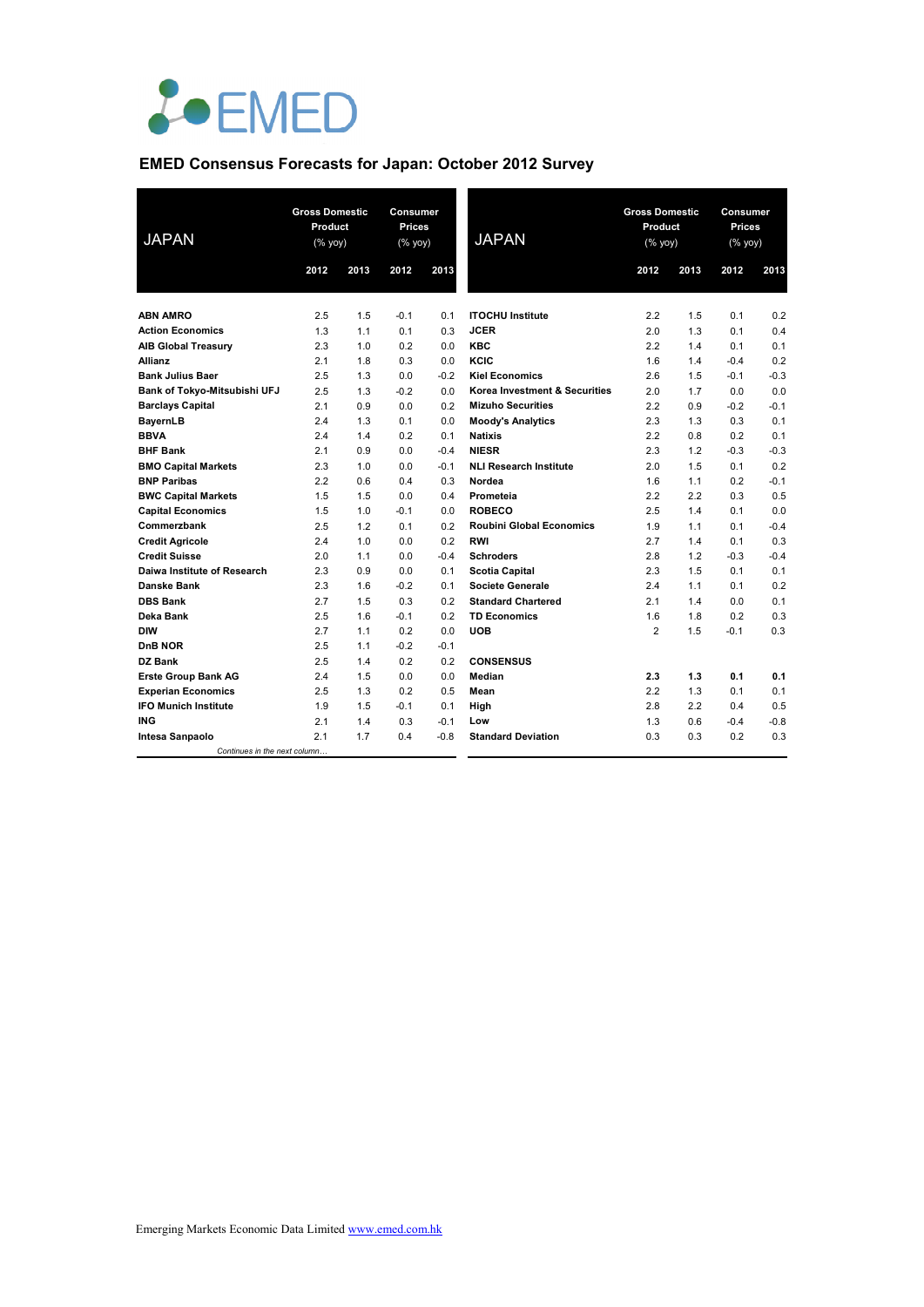

# **EMED Consensus Forecasts for Japan: October 2012 Survey**

| <b>JAPAN</b>                        | <b>Gross Domestic</b><br>Product<br>$(% \mathsf{Y}^{\prime }\mathsf{Y}^{\prime }\mathsf{Y}^{\prime })$ |      | Consumer<br>Prices<br>(% yoy) |        | <b>JAPAN</b>                    | <b>Gross Domestic</b><br>Product<br>(% yoy) |      | Consumer<br>Prices<br>$(\%$ yoy) |        |
|-------------------------------------|--------------------------------------------------------------------------------------------------------|------|-------------------------------|--------|---------------------------------|---------------------------------------------|------|----------------------------------|--------|
|                                     | 2012                                                                                                   | 2013 | 2012                          | 2013   |                                 | 2012                                        | 2013 | 2012                             | 2013   |
| <b>ABN AMRO</b>                     | 2.5                                                                                                    | 1.5  | $-0.1$                        | 0.1    | <b>ITOCHU Institute</b>         | 2.2                                         | 1.5  | 0.1                              | 0.2    |
| <b>Action Economics</b>             | 1.3                                                                                                    | 1.1  | 0.1                           | 0.3    | <b>JCER</b>                     | 2.0                                         | 1.3  | 0.1                              | 0.4    |
| <b>AIB Global Treasury</b>          | 2.3                                                                                                    | 1.0  | 0.2                           | 0.0    | <b>KBC</b>                      | 2.2                                         | 1.4  | 0.1                              | 0.1    |
| Allianz                             | 2.1                                                                                                    | 1.8  | 0.3                           | 0.0    | KCIC                            | 1.6                                         | 1.4  | $-0.4$                           | 0.2    |
| <b>Bank Julius Baer</b>             | 2.5                                                                                                    | 1.3  | 0.0                           | $-0.2$ | <b>Kiel Economics</b>           | 2.6                                         | 1.5  | $-0.1$                           | $-0.3$ |
| <b>Bank of Tokyo-Mitsubishi UFJ</b> | 2.5                                                                                                    | 1.3  | $-0.2$                        | 0.0    | Korea Investment & Securities   | 2.0                                         | 1.7  | 0.0                              | 0.0    |
| <b>Barclays Capital</b>             | 2.1                                                                                                    | 0.9  | 0.0                           | 0.2    | <b>Mizuho Securities</b>        | 2.2                                         | 0.9  | $-0.2$                           | $-0.1$ |
| BayernLB                            | 2.4                                                                                                    | 1.3  | 0.1                           | 0.0    | <b>Moody's Analytics</b>        | 2.3                                         | 1.3  | 0.3                              | 0.1    |
| <b>BBVA</b>                         | 2.4                                                                                                    | 1.4  | 0.2                           | 0.1    | <b>Natixis</b>                  | 2.2                                         | 0.8  | 0.2                              | 0.1    |
| <b>BHF Bank</b>                     | 2.1                                                                                                    | 0.9  | 0.0                           | $-0.4$ | <b>NIESR</b>                    | 2.3                                         | 1.2  | $-0.3$                           | $-0.3$ |
| <b>BMO Capital Markets</b>          | 2.3                                                                                                    | 1.0  | 0.0                           | $-0.1$ | <b>NLI Research Institute</b>   | 2.0                                         | 1.5  | 0.1                              | 0.2    |
| <b>BNP Paribas</b>                  | 2.2                                                                                                    | 0.6  | 0.4                           | 0.3    | Nordea                          | 1.6                                         | 1.1  | 0.2                              | $-0.1$ |
| <b>BWC Capital Markets</b>          | 1.5                                                                                                    | 1.5  | 0.0                           | 0.4    | Prometeia                       | 2.2                                         | 2.2  | 0.3                              | 0.5    |
| <b>Capital Economics</b>            | 1.5                                                                                                    | 1.0  | $-0.1$                        | 0.0    | <b>ROBECO</b>                   | 2.5                                         | 1.4  | 0.1                              | 0.0    |
| Commerzbank                         | 2.5                                                                                                    | 1.2  | 0.1                           | 0.2    | <b>Roubini Global Economics</b> | 1.9                                         | 1.1  | 0.1                              | $-0.4$ |
| <b>Credit Agricole</b>              | 2.4                                                                                                    | 1.0  | 0.0                           | 0.2    | <b>RWI</b>                      | 2.7                                         | 1.4  | 0.1                              | 0.3    |
| <b>Credit Suisse</b>                | 2.0                                                                                                    | 1.1  | 0.0                           | $-0.4$ | <b>Schroders</b>                | 2.8                                         | 1.2  | $-0.3$                           | $-0.4$ |
| Daiwa Institute of Research         | 2.3                                                                                                    | 0.9  | 0.0                           | 0.1    | <b>Scotia Capital</b>           | 2.3                                         | 1.5  | 0.1                              | 0.1    |
| <b>Danske Bank</b>                  | 2.3                                                                                                    | 1.6  | $-0.2$                        | 0.1    | <b>Societe Generale</b>         | 2.4                                         | 1.1  | 0.1                              | 0.2    |
| <b>DBS Bank</b>                     | 2.7                                                                                                    | 1.5  | 0.3                           | 0.2    | <b>Standard Chartered</b>       | 2.1                                         | 1.4  | 0.0                              | 0.1    |
| Deka Bank                           | 2.5                                                                                                    | 1.6  | $-0.1$                        | 0.2    | <b>TD Economics</b>             | 1.6                                         | 1.8  | 0.2                              | 0.3    |
| <b>DIW</b>                          | 2.7                                                                                                    | 1.1  | 0.2                           | 0.0    | <b>UOB</b>                      | $\overline{2}$                              | 1.5  | $-0.1$                           | 0.3    |
| DnB NOR                             | 2.5                                                                                                    | 1.1  | $-0.2$                        | $-0.1$ |                                 |                                             |      |                                  |        |
| DZ Bank                             | 2.5                                                                                                    | 1.4  | 0.2                           | 0.2    | <b>CONSENSUS</b>                |                                             |      |                                  |        |
| <b>Erste Group Bank AG</b>          | 2.4                                                                                                    | 1.5  | 0.0                           | 0.0    | Median                          | 2.3                                         | 1.3  | 0.1                              | 0.1    |
| <b>Experian Economics</b>           | 2.5                                                                                                    | 1.3  | 0.2                           | 0.5    | Mean                            | 2.2                                         | 1.3  | 0.1                              | 0.1    |
| <b>IFO Munich Institute</b>         | 1.9                                                                                                    | 1.5  | $-0.1$                        | 0.1    | High                            | 2.8                                         | 2.2  | 0.4                              | 0.5    |
| <b>ING</b>                          | 2.1                                                                                                    | 1.4  | 0.3                           | $-0.1$ | Low                             | 1.3                                         | 0.6  | $-0.4$                           | $-0.8$ |
| Intesa Sanpaolo                     | 2.1                                                                                                    | 1.7  | 0.4                           | $-0.8$ | <b>Standard Deviation</b>       | 0.3                                         | 0.3  | 0.2                              | 0.3    |
| Continues in the next column        |                                                                                                        |      |                               |        |                                 |                                             |      |                                  |        |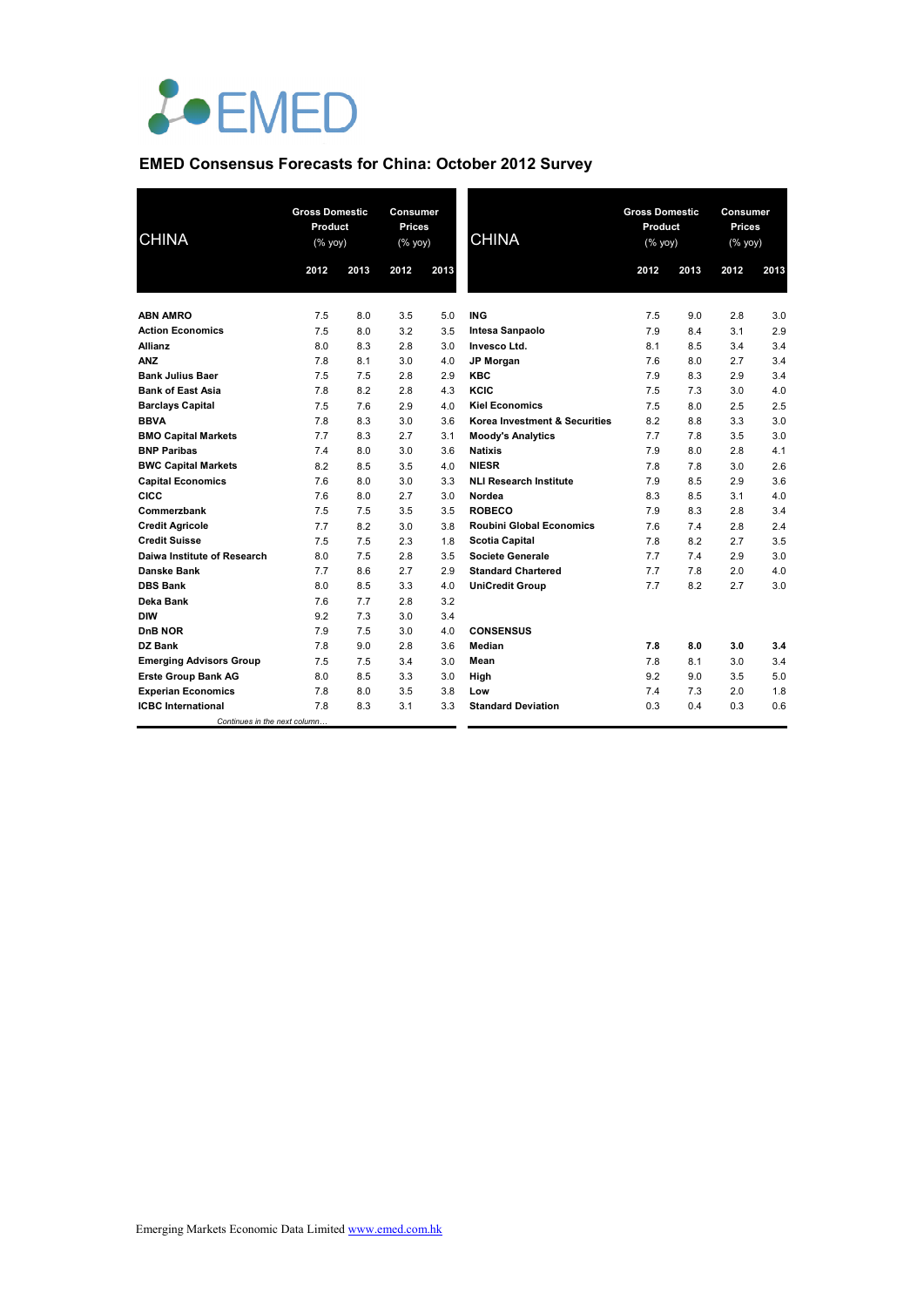

# **EMED Consensus Forecasts for China: October 2012 Survey**

| <b>CHINA</b>                   | <b>Gross Domestic</b><br>Product<br>(% yoy) |      | Consumer<br>Prices<br>(% yoy) |      | <b>CHINA</b>                    | <b>Gross Domestic</b><br>Product<br>(% yoy) |      | Consumer<br>Prices<br>(% yoy) |      |
|--------------------------------|---------------------------------------------|------|-------------------------------|------|---------------------------------|---------------------------------------------|------|-------------------------------|------|
|                                | 2012                                        | 2013 | 2012                          | 2013 |                                 | 2012                                        | 2013 | 2012                          | 2013 |
|                                |                                             |      |                               |      |                                 |                                             |      |                               |      |
| <b>ABN AMRO</b>                | 7.5                                         | 8.0  | 3.5                           | 5.0  | <b>ING</b>                      | 7.5                                         | 9.0  | 2.8                           | 3.0  |
| <b>Action Economics</b>        | 7.5                                         | 8.0  | 3.2                           | 3.5  | Intesa Sanpaolo                 | 7.9                                         | 8.4  | 3.1                           | 2.9  |
| <b>Allianz</b>                 | 8.0                                         | 8.3  | 2.8                           | 3.0  | Invesco Ltd.                    | 8.1                                         | 8.5  | 3.4                           | 3.4  |
| <b>ANZ</b>                     | 7.8                                         | 8.1  | 3.0                           | 4.0  | JP Morgan                       | 7.6                                         | 8.0  | 2.7                           | 3.4  |
| <b>Bank Julius Baer</b>        | 7.5                                         | 7.5  | 2.8                           | 2.9  | <b>KBC</b>                      | 7.9                                         | 8.3  | 2.9                           | 3.4  |
| <b>Bank of East Asia</b>       | 7.8                                         | 8.2  | 2.8                           | 4.3  | KCIC                            | 7.5                                         | 7.3  | 3.0                           | 4.0  |
| <b>Barclays Capital</b>        | 7.5                                         | 7.6  | 2.9                           | 4.0  | <b>Kiel Economics</b>           | 7.5                                         | 8.0  | 2.5                           | 2.5  |
| <b>BBVA</b>                    | 7.8                                         | 8.3  | 3.0                           | 3.6  | Korea Investment & Securities   | 8.2                                         | 8.8  | 3.3                           | 3.0  |
| <b>BMO Capital Markets</b>     | 7.7                                         | 8.3  | 2.7                           | 3.1  | <b>Moody's Analytics</b>        | 7.7                                         | 7.8  | 3.5                           | 3.0  |
| <b>BNP Paribas</b>             | 7.4                                         | 8.0  | 3.0                           | 3.6  | <b>Natixis</b>                  | 7.9                                         | 8.0  | 2.8                           | 4.1  |
| <b>BWC Capital Markets</b>     | 8.2                                         | 8.5  | 3.5                           | 4.0  | <b>NIESR</b>                    | 7.8                                         | 7.8  | 3.0                           | 2.6  |
| <b>Capital Economics</b>       | 7.6                                         | 8.0  | 3.0                           | 3.3  | <b>NLI Research Institute</b>   | 7.9                                         | 8.5  | 2.9                           | 3.6  |
| CICC                           | 7.6                                         | 8.0  | 2.7                           | 3.0  | Nordea                          | 8.3                                         | 8.5  | 3.1                           | 4.0  |
| Commerzbank                    | 7.5                                         | 7.5  | 3.5                           | 3.5  | <b>ROBECO</b>                   | 7.9                                         | 8.3  | 2.8                           | 3.4  |
| <b>Credit Agricole</b>         | 7.7                                         | 8.2  | 3.0                           | 3.8  | <b>Roubini Global Economics</b> | 7.6                                         | 7.4  | 2.8                           | 2.4  |
| <b>Credit Suisse</b>           | 7.5                                         | 7.5  | 2.3                           | 1.8  | <b>Scotia Capital</b>           | 7.8                                         | 8.2  | 2.7                           | 3.5  |
| Daiwa Institute of Research    | 8.0                                         | 7.5  | 2.8                           | 3.5  | <b>Societe Generale</b>         | 7.7                                         | 7.4  | 2.9                           | 3.0  |
| <b>Danske Bank</b>             | 7.7                                         | 8.6  | 2.7                           | 2.9  | <b>Standard Chartered</b>       | 7.7                                         | 7.8  | 2.0                           | 4.0  |
| <b>DBS Bank</b>                | 8.0                                         | 8.5  | 3.3                           | 4.0  | <b>UniCredit Group</b>          | 7.7                                         | 8.2  | 2.7                           | 3.0  |
| Deka Bank                      | 7.6                                         | 7.7  | 2.8                           | 3.2  |                                 |                                             |      |                               |      |
| <b>DIW</b>                     | 9.2                                         | 7.3  | 3.0                           | 3.4  |                                 |                                             |      |                               |      |
| DnB NOR                        | 7.9                                         | 7.5  | 3.0                           | 4.0  | <b>CONSENSUS</b>                |                                             |      |                               |      |
| DZ Bank                        | 7.8                                         | 9.0  | 2.8                           | 3.6  | Median                          | 7.8                                         | 8.0  | 3.0                           | 3.4  |
| <b>Emerging Advisors Group</b> | 7.5                                         | 7.5  | 3.4                           | 3.0  | Mean                            | 7.8                                         | 8.1  | 3.0                           | 3.4  |
| <b>Erste Group Bank AG</b>     | 8.0                                         | 8.5  | 3.3                           | 3.0  | High                            | 9.2                                         | 9.0  | 3.5                           | 5.0  |
| <b>Experian Economics</b>      | 7.8                                         | 8.0  | 3.5                           | 3.8  | Low                             | 7.4                                         | 7.3  | 2.0                           | 1.8  |
| <b>ICBC</b> International      | 7.8                                         | 8.3  | 3.1                           | 3.3  | <b>Standard Deviation</b>       | 0.3                                         | 0.4  | 0.3                           | 0.6  |
| Continues in the next column   |                                             |      |                               |      |                                 |                                             |      |                               |      |